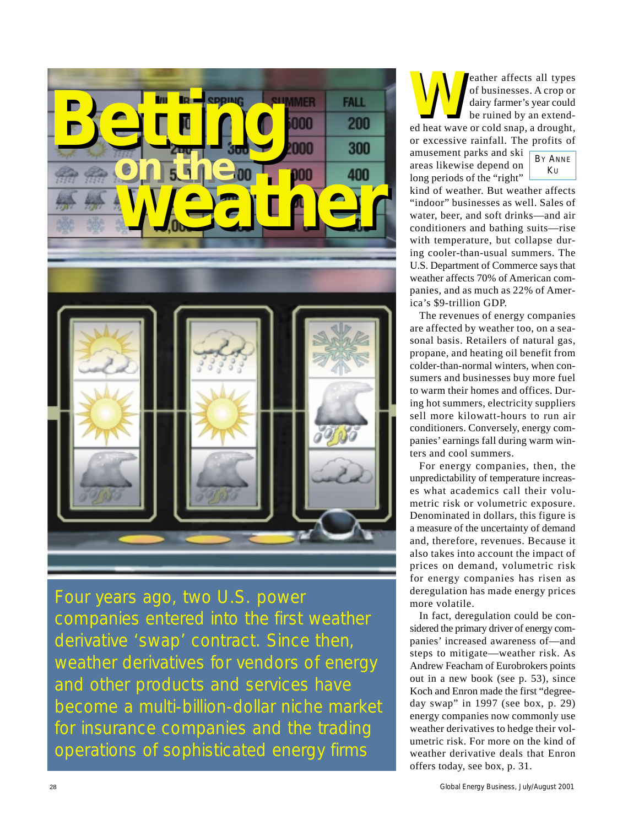

Four years ago, two U.S. power companies entered into the first weather derivative 'swap' contract. Since then, weather derivatives for vendors of energy and other products and services have become a multi-billion-dollar niche market for insurance companies and the trading operations of sophisticated energy firms

**WARED ACCES**<br>
of businesses. A crop or<br>
dairy farmer's year could<br>
be ruined by an extend-<br>
ed heat wave or cold snap, a drought, of businesses. A crop or dairy farmer's year could be ruined by an extendor excessive rainfall. The profits of **W**

amusement parks and ski areas likewise depend on long periods of the "right"

kind of weather. But weather affects "indoor" businesses as well. Sales of water, beer, and soft drinks—and air conditioners and bathing suits—rise with temperature, but collapse during cooler-than-usual summers. The U.S. Department of Commerce says that weather affects 70% of American companies, and as much as 22% of America's \$9-trillion GDP.

The revenues of energy companies are affected by weather too, on a seasonal basis. Retailers of natural gas, propane, and heating oil benefit from colder-than-normal winters, when consumers and businesses buy more fuel to warm their homes and offices. During hot summers, electricity suppliers sell more kilowatt-hours to run air conditioners. Conversely, energy companies' earnings fall during warm winters and cool summers.

For energy companies, then, the unpredictability of temperature increases what academics call their volumetric risk or volumetric exposure. Denominated in dollars, this figure is a measure of the uncertainty of demand and, therefore, revenues. Because it also takes into account the impact of prices on demand, volumetric risk for energy companies has risen as deregulation has made energy prices more volatile.

In fact, deregulation could be considered the primary driver of energy companies' increased awareness of—and steps to mitigate—weather risk. As Andrew Feacham of Eurobrokers points out in a new book (see p. 53), since Koch and Enron made the first "degreeday swap" in 1997 (see box, p. 29) energy companies now commonly use weather derivatives to hedge their volumetric risk. For more on the kind of weather derivative deals that Enron offers today, see box, p. 31.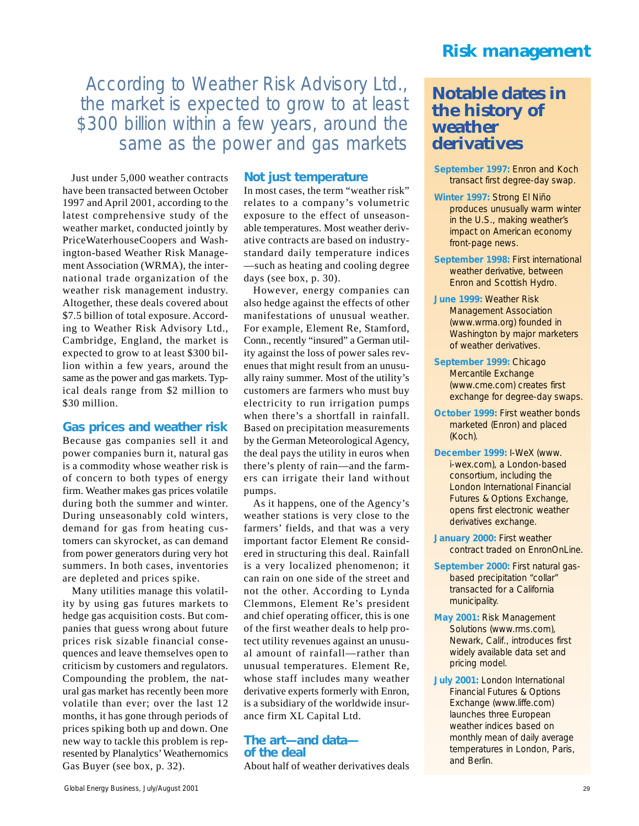According to Weather Risk Advisory Ltd., the market is expected to grow to at least \$300 billion within a few years, around the same as the power and gas markets

Just under 5,000 weather contracts have been transacted between October 1997 and April 2001, according to the latest comprehensive study of the weather market, conducted jointly by PriceWaterhouseCoopers and Washington-based Weather Risk Management Association (WRMA), the international trade organization of the weather risk management industry. Altogether, these deals covered about \$7.5 billion of total exposure. According to Weather Risk Advisory Ltd., Cambridge, England, the market is expected to grow to at least \$300 billion within a few years, around the same as the power and gas markets. Typical deals range from \$2 million to \$30 million.

#### **Gas prices and weather risk**

Because gas companies sell it and power companies burn it, natural gas is a commodity whose weather risk is of concern to both types of energy firm. Weather makes gas prices volatile during both the summer and winter. During unseasonably cold winters, demand for gas from heating customers can skyrocket, as can demand from power generators during very hot summers. In both cases, inventories are depleted and prices spike.

Many utilities manage this volatility by using gas futures markets to hedge gas acquisition costs. But companies that guess wrong about future prices risk sizable financial consequences and leave themselves open to criticism by customers and regulators. Compounding the problem, the natural gas market has recently been more volatile than ever; over the last 12 months, it has gone through periods of prices spiking both up and down. One new way to tackle this problem is represented by Planalytics'Weathernomics Gas Buyer (see box, p. 32).

#### **Not just temperature**

In most cases, the term "weather risk" relates to a company's volumetric exposure to the effect of unseasonable temperatures. Most weather derivative contracts are based on industrystandard daily temperature indices —such as heating and cooling degree days (see box, p. 30).

However, energy companies can also hedge against the effects of other manifestations of unusual weather. For example, Element Re, Stamford, Conn., recently "insured" a German utility against the loss of power sales revenues that might result from an unusually rainy summer. Most of the utility's customers are farmers who must buy electricity to run irrigation pumps when there's a shortfall in rainfall. Based on precipitation measurements by the German Meteorological Agency, the deal pays the utility in euros when there's plenty of rain—and the farmers can irrigate their land without pumps.

As it happens, one of the Agency's weather stations is very close to the farmers' fields, and that was a very important factor Element Re considered in structuring this deal. Rainfall is a very localized phenomenon; it can rain on one side of the street and not the other. According to Lynda Clemmons, Element Re's president and chief operating officer, this is one of the first weather deals to help protect utility revenues against an unusual amount of rainfall—rather than unusual temperatures. Element Re, whose staff includes many weather derivative experts formerly with Enron, is a subsidiary of the worldwide insurance firm XL Capital Ltd.

#### **The art—and data of the deal**

About half of weather derivatives deals

## **Risk management**

## **Notable dates in the history of weather derivatives**

- **September 1997:** Enron and Koch transact first degree-day swap.
- **Winter 1997:** Strong El Niño produces unusually warm winter in the U.S., making weather's impact on American economy front-page news.
- **September 1998:** First international weather derivative, between Enron and Scottish Hydro.
- **June 1999:** Weather Risk Management Association (www.wrma.org) founded in Washington by major marketers of weather derivatives.
- **September 1999:** Chicago Mercantile Exchange (www.cme.com) creates first exchange for degree-day swaps.
- **October 1999:** First weather bonds marketed (Enron) and placed (Koch).
- **December 1999:** I-WeX (www. i-wex.com), a London-based consortium, including the London International Financial Futures & Options Exchange, opens first electronic weather derivatives exchange.
- **January 2000:** First weather contract traded on EnronOnLine.
- **September 2000:** First natural gasbased precipitation "collar" transacted for a California municipality.
- **May 2001:** Risk Management Solutions (www.rms.com), Newark, Calif., introduces first widely available data set and pricing model.
- **July 2001:** London International Financial Futures & Options Exchange (www.liffe.com) launches three European weather indices based on monthly mean of daily average temperatures in London, Paris, and Berlin.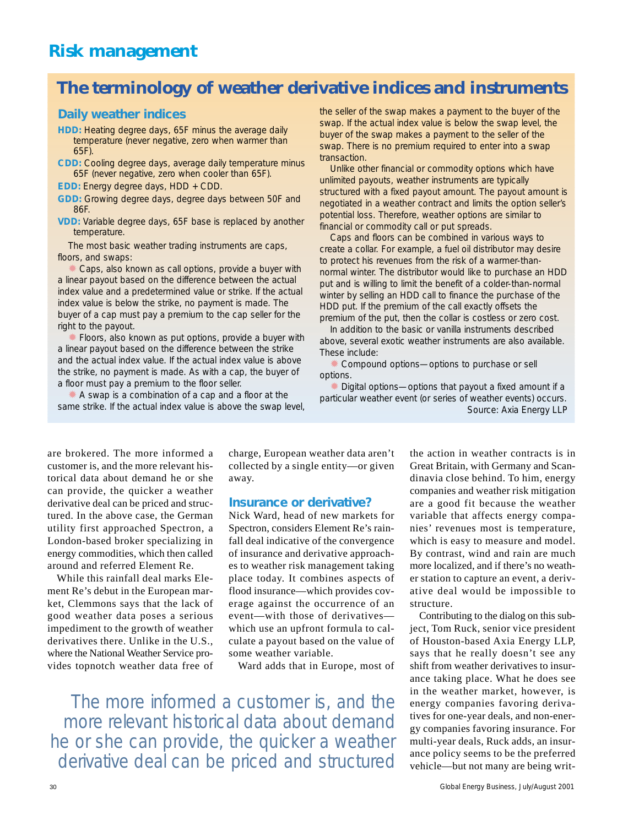## **The terminology of weather derivative indices and instruments**

### **Daily weather indices**

- **HDD:** Heating degree days, 65F minus the average daily temperature (never negative, zero when warmer than 65F).
- **CDD:** Cooling degree days, average daily temperature minus 65F (never negative, zero when cooler than 65F).
- **EDD:** Energy degree days, HDD + CDD.
- **GDD:** Growing degree days, degree days between 50F and 86F.
- **VDD:** Variable degree days, 65F base is replaced by another temperature.

The most basic weather trading instruments are caps, floors, and swaps:

Caps, also known as call options, provide a buyer with a linear payout based on the difference between the actual index value and a predetermined value or strike. If the actual index value is below the strike, no payment is made. The buyer of a cap must pay a premium to the cap seller for the right to the payout.

Floors, also known as put options, provide a buyer with a linear payout based on the difference between the strike and the actual index value. If the actual index value is above the strike, no payment is made. As with a cap, the buyer of a floor must pay a premium to the floor seller.

✹ A swap is a combination of a cap and a floor at the same strike. If the actual index value is above the swap level, the seller of the swap makes a payment to the buyer of the swap. If the actual index value is below the swap level, the buyer of the swap makes a payment to the seller of the swap. There is no premium required to enter into a swap transaction.

Unlike other financial or commodity options which have unlimited payouts, weather instruments are typically structured with a fixed payout amount. The payout amount is negotiated in a weather contract and limits the option seller's potential loss. Therefore, weather options are similar to financial or commodity call or put spreads.

Caps and floors can be combined in various ways to create a collar. For example, a fuel oil distributor may desire to protect his revenues from the risk of a warmer-thannormal winter. The distributor would like to purchase an HDD put and is willing to limit the benefit of a colder-than-normal winter by selling an HDD call to finance the purchase of the HDD put. If the premium of the call exactly offsets the premium of the put, then the collar is costless or zero cost.

In addition to the basic or vanilla instruments described above, several exotic weather instruments are also available. These include:

✹ Compound options—options to purchase or sell options.

Digital options—options that payout a fixed amount if a particular weather event (or series of weather events) occurs. Source: Axia Energy LLP

are brokered. The more informed a customer is, and the more relevant historical data about demand he or she can provide, the quicker a weather derivative deal can be priced and structured. In the above case, the German utility first approached Spectron, a London-based broker specializing in energy commodities, which then called around and referred Element Re.

While this rainfall deal marks Element Re's debut in the European market, Clemmons says that the lack of good weather data poses a serious impediment to the growth of weather derivatives there. Unlike in the U.S., where the National Weather Service provides topnotch weather data free of charge, European weather data aren't collected by a single entity—or given away.

#### **Insurance or derivative?**

Nick Ward, head of new markets for Spectron, considers Element Re's rainfall deal indicative of the convergence of insurance and derivative approaches to weather risk management taking place today. It combines aspects of flood insurance—which provides coverage against the occurrence of an event—with those of derivatives which use an upfront formula to calculate a payout based on the value of some weather variable.

Ward adds that in Europe, most of

The more informed a customer is, and the more relevant historical data about demand he or she can provide, the quicker a weather derivative deal can be priced and structured

the action in weather contracts is in Great Britain, with Germany and Scandinavia close behind. To him, energy companies and weather risk mitigation are a good fit because the weather variable that affects energy companies' revenues most is temperature, which is easy to measure and model. By contrast, wind and rain are much more localized, and if there's no weather station to capture an event, a derivative deal would be impossible to structure.

Contributing to the dialog on this subject, Tom Ruck, senior vice president of Houston-based Axia Energy LLP, says that he really doesn't see any shift from weather derivatives to insurance taking place. What he does see in the weather market, however, is energy companies favoring derivatives for one-year deals, and non-energy companies favoring insurance. For multi-year deals, Ruck adds, an insurance policy seems to be the preferred vehicle—but not many are being writ-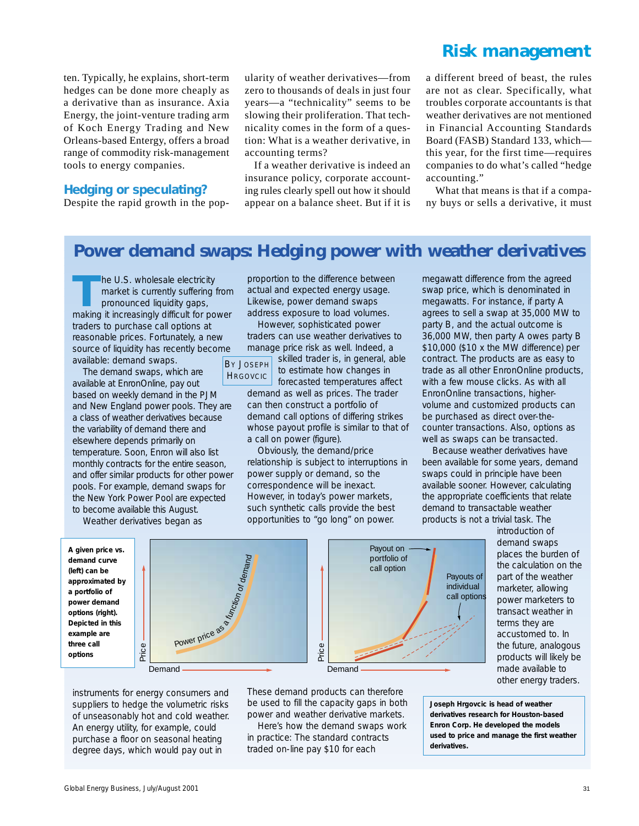## **Risk management**

ten. Typically, he explains, short-term hedges can be done more cheaply as a derivative than as insurance. Axia Energy, the joint-venture trading arm of Koch Energy Trading and New Orleans-based Entergy, offers a broad range of commodity risk-management tools to energy companies.

### **Hedging or speculating?**

Despite the rapid growth in the pop-

ularity of weather derivatives—from zero to thousands of deals in just four years—a "technicality" seems to be slowing their proliferation. That technicality comes in the form of a question: What is a weather derivative, in accounting terms?

If a weather derivative is indeed an insurance policy, corporate accounting rules clearly spell out how it should appear on a balance sheet. But if it is a different breed of beast, the rules are not as clear. Specifically, what troubles corporate accountants is that weather derivatives are not mentioned in Financial Accounting Standards Board (FASB) Standard 133, which this year, for the first time—requires companies to do what's called "hedge accounting."

What that means is that if a company buys or sells a derivative, it must

# **Power demand swaps: Hedging power with weather derivatives**

The U.S. wholesale electricity market is currently suffering from pronounced liquidity gaps, making it increasingly difficult for power traders to purchase call options at reasonable prices. Fortunately, a new source of liquidity has recently become available: demand swaps.

The demand swaps, which are available at EnronOnline, pay out based on weekly demand in the PJM and New England power pools. They are a class of weather derivatives because the variability of demand there and elsewhere depends primarily on temperature. Soon, Enron will also list monthly contracts for the entire season, and offer similar products for other power pools. For example, demand swaps for the New York Power Pool are expected to become available this August.

Weather derivatives began as

proportion to the difference between actual and expected energy usage. Likewise, power demand swaps address exposure to load volumes.

However, sophisticated power traders can use weather derivatives to manage price risk as well. Indeed, a

BY JOSEPH **HRGOVCIC** 

skilled trader is, in general, able to estimate how changes in

forecasted temperatures affect demand as well as prices. The trader can then construct a portfolio of demand call options of differing strikes whose payout profile is similar to that of a call on power (figure).

Obviously, the demand/price relationship is subject to interruptions in power supply or demand, so the correspondence will be inexact. However, in today's power markets, such synthetic calls provide the best opportunities to "go long" on power.

megawatt difference from the agreed swap price, which is denominated in megawatts. For instance, if party A agrees to sell a swap at 35,000 MW to party B, and the actual outcome is 36,000 MW, then party A owes party B \$10,000 (\$10 x the MW difference) per contract. The products are as easy to trade as all other EnronOnline products, with a few mouse clicks. As with all EnronOnline transactions, highervolume and customized products can be purchased as direct over-thecounter transactions. Also, options as well as swaps can be transacted.

Because weather derivatives have been available for some years, demand swaps could in principle have been available sooner. However, calculating the appropriate coefficients that relate demand to transactable weather products is not a trivial task. The

*A given price vs. demand curve (left) can be approximated by a portfolio of power demand options (right). Depicted in this example are three call options*



instruments for energy consumers and suppliers to hedge the volumetric risks of unseasonably hot and cold weather. An energy utility, for example, could purchase a floor on seasonal heating degree days, which would pay out in

These demand products can therefore be used to fill the capacity gaps in both power and weather derivative markets.

Here's how the demand swaps work in practice: The standard contracts traded on-line pay \$10 for each



introduction of demand swaps places the burden of the calculation on the part of the weather marketer, allowing power marketers to transact weather in terms they are accustomed to. In the future, analogous products will likely be made available to other energy traders.

*Joseph Hrgovcic is head of weather derivatives research for Houston-based Enron Corp. He developed the models used to price and manage the first weather derivatives.*